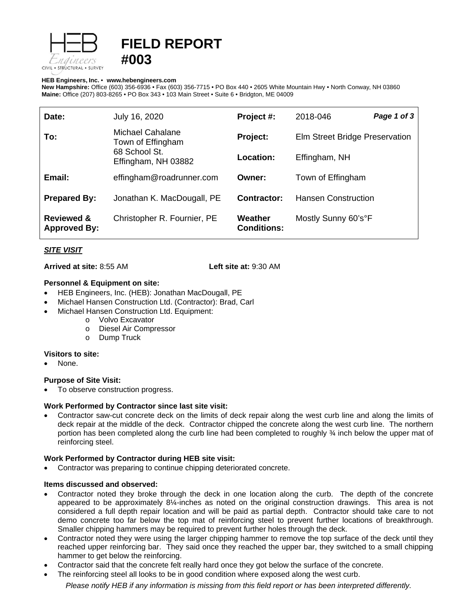

# **FIELD REPORT #003**

#### **HEB Engineers, Inc.** • **[www.hebengineer](http://www.hebengineers.com/)s.com**

**New Hampshire:** Office (603) 356-6936 • Fax (603) 356-7715 • PO Box 440 • 2605 White Mountain Hwy • North Conway, NH 03860 **Maine:** Office (207) 803-8265 • PO Box 343 • 103 Main Street • Suite 6 • Bridgton, ME 04009

| Date:                                        | July 16, 2020                                                                 | Project #:                    | 2018-046                       | Page 1 of 3 |
|----------------------------------------------|-------------------------------------------------------------------------------|-------------------------------|--------------------------------|-------------|
| To:                                          | Michael Cahalane<br>Town of Effingham<br>68 School St.<br>Effingham, NH 03882 | Project:                      | Elm Street Bridge Preservation |             |
|                                              |                                                                               | Location:                     | Effingham, NH                  |             |
| Email:                                       | effingham@roadrunner.com                                                      | Owner:                        | Town of Effingham              |             |
| <b>Prepared By:</b>                          | Jonathan K. MacDougall, PE                                                    | Contractor:                   | <b>Hansen Construction</b>     |             |
| <b>Reviewed &amp;</b><br><b>Approved By:</b> | Christopher R. Fournier, PE                                                   | Weather<br><b>Conditions:</b> | Mostly Sunny 60's°F            |             |

## *SITE VISIT*

**Arrived at site:** 8:55 AM **Left site at:** 9:30 AM

### **Personnel & Equipment on site:**

- HEB Engineers, Inc. (HEB): Jonathan MacDougall, PE
- Michael Hansen Construction Ltd. (Contractor): Brad, Carl
- Michael Hansen Construction Ltd. Equipment:
	- o Volvo Excavator
	- o Diesel Air Compressor
	- o Dump Truck

#### **Visitors to site:**

• None.

## **Purpose of Site Visit:**

To observe construction progress.

## **Work Performed by Contractor since last site visit:**

• Contractor saw-cut concrete deck on the limits of deck repair along the west curb line and along the limits of deck repair at the middle of the deck. Contractor chipped the concrete along the west curb line. The northern portion has been completed along the curb line had been completed to roughly  $\frac{3}{4}$  inch below the upper mat of reinforcing steel.

## **Work Performed by Contractor during HEB site visit:**

• Contractor was preparing to continue chipping deteriorated concrete.

#### **Items discussed and observed:**

- Contractor noted they broke through the deck in one location along the curb. The depth of the concrete appeared to be approximately 8¼-inches as noted on the original construction drawings. This area is not considered a full depth repair location and will be paid as partial depth. Contractor should take care to not demo concrete too far below the top mat of reinforcing steel to prevent further locations of breakthrough. Smaller chipping hammers may be required to prevent further holes through the deck.
- Contractor noted they were using the larger chipping hammer to remove the top surface of the deck until they reached upper reinforcing bar. They said once they reached the upper bar, they switched to a small chipping hammer to get below the reinforcing.
- Contractor said that the concrete felt really hard once they got below the surface of the concrete.
- The reinforcing steel all looks to be in good condition where exposed along the west curb.

*Please notify HEB if any information is missing from this field report or has been interpreted differently.*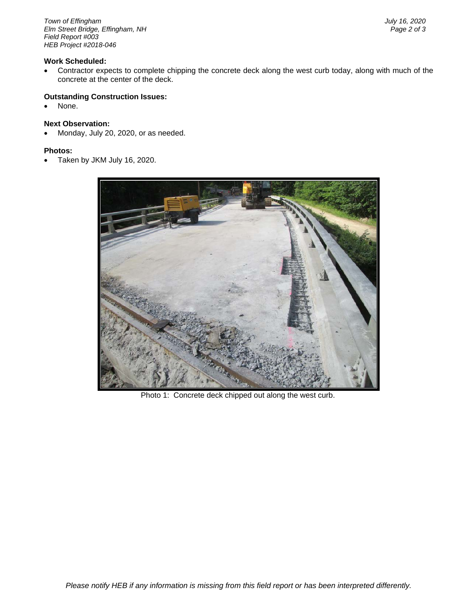*Town of Effingham July 16, 2020 <i>Elm Street Bridge, Effingham, NH Field Report #003 HEB Project #2018-046*

#### **Work Scheduled:**

• Contractor expects to complete chipping the concrete deck along the west curb today, along with much of the concrete at the center of the deck.

#### **Outstanding Construction Issues:**

None.

## **Next Observation:**

• Monday, July 20, 2020, or as needed.

#### **Photos:**

• Taken by JKM July 16, 2020.



Photo 1: Concrete deck chipped out along the west curb.